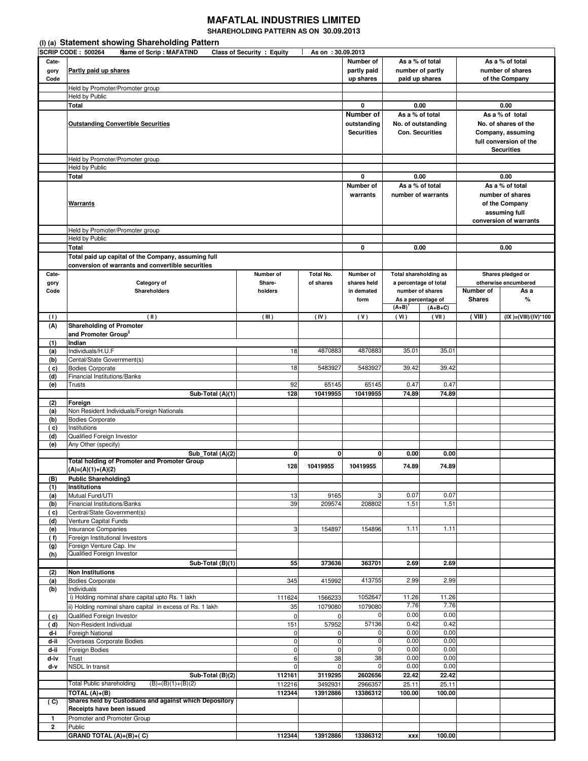## **MAFATLAL INDUSTRIES LIMITED**

**SHAREHOLDING PATTERN AS ON 30.09.2013** 

|              | (I) (a) Statement showing Shareholding Pattern                                                           |                    |                              |                    |                               |                   |                            |                                 |  |
|--------------|----------------------------------------------------------------------------------------------------------|--------------------|------------------------------|--------------------|-------------------------------|-------------------|----------------------------|---------------------------------|--|
| Cate-        | <b>SCRIP CODE: 500264</b><br><b>Name of Scrip: MAFATIND</b><br>Class of Security : Equity                | As on : 30.09.2013 | Number of<br>As a % of total |                    | As a % of total               |                   |                            |                                 |  |
| gory         | Partly paid up shares                                                                                    | partly paid        | number of partly             |                    |                               | number of shares  |                            |                                 |  |
| Code         |                                                                                                          |                    | up shares                    | paid up shares     |                               | of the Company    |                            |                                 |  |
|              | Held by Promoter/Promoter group                                                                          |                    |                              |                    |                               |                   |                            |                                 |  |
|              | <b>Held by Public</b><br>Total                                                                           | 0                  | 0.00                         |                    | 0.00                          |                   |                            |                                 |  |
|              |                                                                                                          | Number of          | As a % of total              |                    | As a % of total               |                   |                            |                                 |  |
|              | <b>Outstanding Convertible Securities</b>                                                                |                    |                              | outstanding        | No. of outstanding            |                   |                            | No. of shares of the            |  |
|              |                                                                                                          |                    |                              | <b>Securities</b>  | <b>Con. Securities</b>        |                   |                            | Company, assuming               |  |
|              |                                                                                                          |                    |                              |                    |                               |                   |                            | full conversion of the          |  |
|              | Held by Promoter/Promoter group                                                                          |                    |                              |                    |                               | <b>Securities</b> |                            |                                 |  |
|              | Held by Public                                                                                           |                    |                              |                    |                               |                   |                            |                                 |  |
|              | Total                                                                                                    |                    |                              | 0                  | 0.00                          |                   |                            | 0.00                            |  |
|              |                                                                                                          | Number of          | As a % of total              |                    | As a % of total               |                   |                            |                                 |  |
|              |                                                                                                          |                    |                              | warrants           | number of warrants            |                   |                            | number of shares                |  |
|              | <b>Warrants</b>                                                                                          |                    |                              |                    |                               |                   |                            | of the Company<br>assuming full |  |
|              |                                                                                                          |                    |                              |                    |                               |                   |                            | conversion of warrants          |  |
|              | Held by Promoter/Promoter group                                                                          |                    |                              |                    |                               |                   |                            |                                 |  |
|              | Held by Public                                                                                           |                    |                              |                    |                               |                   |                            |                                 |  |
|              | <b>Total</b>                                                                                             |                    |                              | 0                  | 0.00                          |                   | 0.00                       |                                 |  |
|              | Total paid up capital of the Company, assuming full<br>conversion of warrants and convertible securities |                    |                              |                    |                               |                   |                            |                                 |  |
| Cate-        |                                                                                                          | Number of          | Total No.                    | Number of          | <b>Total shareholding as</b>  |                   |                            | Shares pledged or               |  |
| gory         | Category of                                                                                              | Share-             | of shares                    | shares held        | a percentage of total         |                   |                            | otherwise encumbered            |  |
| Code         | <b>Shareholders</b>                                                                                      | holders            |                              | in demated<br>form | number of shares              |                   | Number of<br><b>Shares</b> | As a<br>%                       |  |
|              |                                                                                                          |                    |                              |                    | As a percentage of<br>$(A+B)$ | $(A+B+C)$         |                            |                                 |  |
| (1)          | (11)                                                                                                     | (III)              | (IV)                         | (V)                | (VI)                          | (VII)             | (VIII)                     | $(IX )=(VIII)/(IV)*100$         |  |
| (A)          | <b>Shareholding of Promoter</b>                                                                          |                    |                              |                    |                               |                   |                            |                                 |  |
|              | and Promoter Group <sup>2</sup>                                                                          |                    |                              |                    |                               |                   |                            |                                 |  |
| (1)<br>(a)   | Indian<br>Individuals/H.U.F                                                                              | 18                 | 4870883                      | 4870883            | 35.01                         | 35.01             |                            |                                 |  |
| (b)          | Cental/State Government(s)                                                                               |                    |                              |                    |                               |                   |                            |                                 |  |
| (c)          | <b>Bodies Corporate</b>                                                                                  | 18                 | 5483927                      | 5483927            | 39.42                         | 39.42             |                            |                                 |  |
| (d)<br>(e)   | <b>Financial Institutions/Banks</b><br>Trusts                                                            | 92                 | 65145                        | 65145              | 0.47                          | 0.47              |                            |                                 |  |
|              | Sub-Total (A)(1)                                                                                         | 128                | 10419955                     | 10419955           | 74.89                         | 74.89             |                            |                                 |  |
| (2)          | Foreign                                                                                                  |                    |                              |                    |                               |                   |                            |                                 |  |
| (a)          | Non Resident Individuals/Foreign Nationals                                                               |                    |                              |                    |                               |                   |                            |                                 |  |
| (b)<br>( c)  | <b>Bodies Corporate</b><br>Institutions                                                                  |                    |                              |                    |                               |                   |                            |                                 |  |
| (d)          | Qualified Foreign Investor                                                                               |                    |                              |                    |                               |                   |                            |                                 |  |
| (e)          | Any Other (specify)                                                                                      |                    |                              |                    |                               |                   |                            |                                 |  |
|              | Sub_Total (A)(2)<br>Total holding of Promoter and Promoter Group                                         | $\mathbf{0}$       | 0                            | $\mathbf{0}$       | 0.00                          | 0.00              |                            |                                 |  |
|              | $(A)=(A)(1)+(A)(2)$                                                                                      | 128                | 10419955                     | 10419955           | 74.89                         | 74.89             |                            |                                 |  |
| (B)          | <b>Public Shareholding3</b>                                                                              |                    |                              |                    |                               |                   |                            |                                 |  |
| (1)          | <b>Institutions</b>                                                                                      |                    |                              |                    |                               |                   |                            |                                 |  |
| (a)<br>(b)   | Mutual Fund/UTI<br><b>Financial Institutions/Banks</b>                                                   | 13<br>39           | 9165<br>209574               | 3<br>208802        | 0.07<br>1.51                  | 0.07<br>1.51      |                            |                                 |  |
| (c)          | Central/State Government(s)                                                                              |                    |                              |                    |                               |                   |                            |                                 |  |
| (d)          | Venture Capital Funds                                                                                    |                    |                              |                    |                               |                   |                            |                                 |  |
| (e)          | Insurance Companies                                                                                      | 3                  | 154897                       | 154896             | 1.11                          | 1.11              |                            |                                 |  |
| ( f)<br>(g)  | Foreign Institutional Investors<br>Foreign Venture Cap. Inv                                              |                    |                              |                    |                               |                   |                            |                                 |  |
| (h)          | Qualified Foreign Investor                                                                               |                    |                              |                    |                               |                   |                            |                                 |  |
|              | $\overline{\text{Sub-Total}}$ (B)(1)                                                                     | 55                 | 373636                       | 363701             | 2.69                          | 2.69              |                            |                                 |  |
| (2)<br>(a)   | <b>Non Institutions</b><br><b>Bodies Corporate</b>                                                       | 345                | 415992                       | 413755             | 2.99                          | 2.99              |                            |                                 |  |
| (b)          | Individuals                                                                                              |                    |                              |                    |                               |                   |                            |                                 |  |
|              | i) Holding nominal share capital upto Rs. 1 lakh                                                         | 111624             | 1566233                      | 1052647            | 11.26                         | 11.26             |                            |                                 |  |
|              | ii) Holding nominal share capital in excess of Rs. 1 lakh                                                | 35                 | 1079080                      | 1079080            | 7.76                          | 7.76              |                            |                                 |  |
| (c)<br>(d)   | Qualified Foreign Investor<br>Non-Resident Individual                                                    | $\mathbf 0$<br>151 | 0<br>57952                   | 57136              | 0.00<br>0.42                  | 0.00<br>0.42      |                            |                                 |  |
| d-i          | Foreigh National                                                                                         | 0                  | 0                            |                    | 0.00                          | 0.00              |                            |                                 |  |
| d-ii         | Overseas Corporate Bodies                                                                                | $\mathbf 0$        | 0                            | 0                  | 0.00                          | 0.00              |                            |                                 |  |
| d-ii<br>d-iv | Foreign Bodies<br>Trust                                                                                  | $\mathbf 0$<br>6   | 0<br>38                      | 0<br>38            | 0.00<br>0.00                  | 0.00<br>0.00      |                            |                                 |  |
| d-v          | NSDL In transit                                                                                          | 0                  | 0                            | 0                  | 0.00                          | 0.00              |                            |                                 |  |
|              | Sub-Total $(B)(2)$                                                                                       | 112161             | 3119295                      | 2602656            | 22.42                         | 22.42             |                            |                                 |  |
|              | <b>Total Public shareholding</b><br>$(B)=(B)(1)+(B)(2)$                                                  | 112216             | 3492931                      | 2966357            | 25.11                         | 25.11             |                            |                                 |  |
| (C)          | TOTAL (A)+(B)<br>Shares held by Custodians and against which Depository                                  | 112344             | 13912886                     | 13386312           | 100.00                        | 100.00            |                            |                                 |  |
|              | Receipts have been issued                                                                                |                    |                              |                    |                               |                   |                            |                                 |  |
| $\mathbf{1}$ | Promoter and Promoter Group                                                                              |                    |                              |                    |                               |                   |                            |                                 |  |
| $\mathbf{2}$ | Public                                                                                                   |                    |                              |                    |                               |                   |                            |                                 |  |
|              | GRAND TOTAL $(A) + (B) + (C)$                                                                            | 112344             | 13912886                     | 13386312           | <b>XXX</b>                    | 100.00            |                            |                                 |  |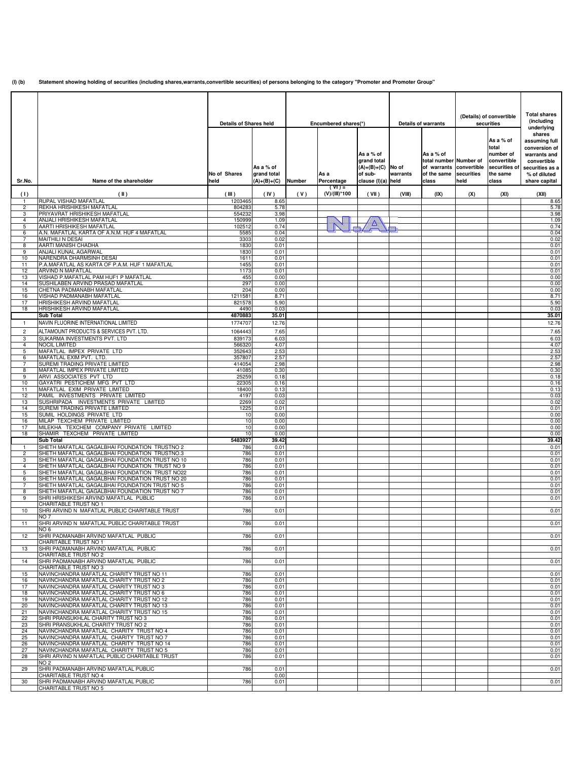**(I) (b) Statement showing holding of securities (including shares,warrants,convertible securities) of persons belonging to the category "Promoter and Promoter Group"**

|                     |                                                                                                   |                               |                                         |        |                           |                                                                     |          |                                                                           | (Details) of convertible |                                                   | <b>Total shares</b>                                                                  |
|---------------------|---------------------------------------------------------------------------------------------------|-------------------------------|-----------------------------------------|--------|---------------------------|---------------------------------------------------------------------|----------|---------------------------------------------------------------------------|--------------------------|---------------------------------------------------|--------------------------------------------------------------------------------------|
|                     |                                                                                                   | <b>Details of Shares held</b> |                                         |        | Encumbered shares(*)      | As a % of                                                           |          | <b>Details of warrants</b><br>As a % of                                   |                          | securities<br>As a % of<br>total<br>number of     | (including<br>underlying<br>shares<br>assuming full<br>conversion of<br>warrants and |
| Sr.No.              | Name of the shareholder                                                                           | No of Shares<br>held          | As a % of<br>grand total<br>(A)+(B)+(C) | Number | As a<br>Percentage        | grand total<br>$(A)+(B)+(C)$ No of<br>of sub-<br>clause (I)(a) held | warrants | total number Number of<br>of warrants convertible<br>of the same<br>class | securities<br>held       | convertible<br>securities of<br>the same<br>class | convertible<br>securities as a<br>% of diluted<br>share capital                      |
| (1)                 | (II)                                                                                              | (III)                         | (IV)                                    | (V)    | $(TV) =$<br>(V)/(III)*100 | (VII)                                                               | (VIII)   | (IX)                                                                      | (X)                      | (XI)                                              | (XII)                                                                                |
| 1.<br>2             | RUPAL VISHAD MAFATLAL<br>REKHA HRISHIKESH MAFATLAL                                                | 1203465<br>804283             | 8.65<br>5.78                            |        |                           |                                                                     |          |                                                                           |                          |                                                   | 8.65<br>5.78                                                                         |
| 3                   | PRIYAVRAT HRISHIKESH MAFATLAL                                                                     | 554232                        | 3.98                                    |        |                           |                                                                     |          |                                                                           |                          |                                                   | 3.98                                                                                 |
| 4<br>5              | <b>ANJALI HRISHIKESH MAFATLAL</b><br>AARTI HRISHIKESH MAFATLAL                                    | 150999<br>102512              | 1.09<br>0.74                            |        |                           | Δ                                                                   |          |                                                                           |                          |                                                   | 1.09<br>0.74                                                                         |
| 6                   | A.N. MAFATLAL KARTA OF A.N.M. HUF 4 MAFATLAL                                                      | 5585                          | 0.04                                    |        |                           |                                                                     |          |                                                                           |                          |                                                   | 0.04                                                                                 |
| $\overline{7}$      | <b>MAITHILI N DESAI</b>                                                                           | 3303                          | 0.02                                    |        |                           |                                                                     |          |                                                                           |                          |                                                   | 0.02                                                                                 |
| 8<br>9              | AARTI MANISH CHADHA<br>ANJALI KUNAL AGARWAL                                                       | 1830<br>1830                  | 0.01<br>0.01                            |        |                           |                                                                     |          |                                                                           |                          |                                                   | 0.01<br>0.01                                                                         |
| 10                  | NARENDRA DHARMSINH DESAI                                                                          | 1611                          | 0.01                                    |        |                           |                                                                     |          |                                                                           |                          |                                                   | 0.01                                                                                 |
| 11<br>12            | P.A.MAFATLAL AS KARTA OF P.A.M. HUF 1 MAFATLAL<br>ARVIND N MAFATLAL                               | 1455<br>1173                  | 0.01<br>0.01                            |        |                           |                                                                     |          |                                                                           |                          |                                                   | 0.01<br>0.01                                                                         |
| 13                  | VISHAD P.MAFATLAL PAM HUF1 P MAFATLAL                                                             | 455                           | 0.00                                    |        |                           |                                                                     |          |                                                                           |                          |                                                   | 0.00                                                                                 |
| 14                  | SUSHILABEN ARVIND PRASAD MAFATLAL                                                                 | 297                           | 0.00                                    |        |                           |                                                                     |          |                                                                           |                          |                                                   | 0.00                                                                                 |
| 15<br>16            | CHETNA PADMANABH MAFATLAL<br>VISHAD PADMANABH MAFATLAL                                            | 204<br>1211581                | 0.00<br>8.71                            |        |                           |                                                                     |          |                                                                           |                          |                                                   | 0.00<br>8.71                                                                         |
| 17                  | HRISHIKESH ARVIND MAFATLAL                                                                        | 821578                        | 5.90                                    |        |                           |                                                                     |          |                                                                           |                          |                                                   | 5.90                                                                                 |
| 18                  | HRISHIKESH ARVIND MAFATLAL<br><b>Sub Total</b>                                                    | 4490<br>4870883               | 0.03<br>35.01                           |        |                           |                                                                     |          |                                                                           |                          |                                                   | 0.03<br>35.01                                                                        |
| $\mathbf{1}$        | NAVIN FLUORINE INTERNATIONAL LIMITED                                                              | 1774707                       | 12.76                                   |        |                           |                                                                     |          |                                                                           |                          |                                                   | 12.76                                                                                |
| $\overline{c}$      | ALTAMOUNT PRODUCTS & SERVICES PVT. LTD.                                                           | 1064443                       | 7.65                                    |        |                           |                                                                     |          |                                                                           |                          |                                                   | 7.65                                                                                 |
| 3                   | SUKARMA INVESTMENTS PVT. LTD                                                                      | 839173                        | 6.03                                    |        |                           |                                                                     |          |                                                                           |                          |                                                   | 6.03                                                                                 |
| 4                   | NOCIL LIMITED<br>MAFATLAL IMPEX PRIVATE LTD                                                       | 566320<br>352643              | 4.07                                    |        |                           |                                                                     |          |                                                                           |                          |                                                   | 4.07<br>2.53                                                                         |
| 5<br>6              | MAFATLAL EXIM PVT. LTD.                                                                           | 357807                        | 2.53<br>2.57                            |        |                           |                                                                     |          |                                                                           |                          |                                                   | 2.57                                                                                 |
| 7                   | SUREMI TRADING PRIVATE LIMITED                                                                    | 414054                        | 2.98                                    |        |                           |                                                                     |          |                                                                           |                          |                                                   | 2.98                                                                                 |
| 8<br>9              | MAFATLAL IMPEX PRIVATE LIMITED<br>ARVI ASSOCIATES PVT LTD                                         | 41085<br>25259                | 0.30<br>0.18                            |        |                           |                                                                     |          |                                                                           |                          |                                                   | 0.30<br>0.18                                                                         |
| 10                  | GAYATRI PESTICHEM MFG PVT LTD                                                                     | 22305                         | 0.16                                    |        |                           |                                                                     |          |                                                                           |                          |                                                   | 0.16                                                                                 |
| 11                  | MAFATLAL EXIM PRIVATE LIMITED                                                                     | 18400<br>4197                 | 0.13                                    |        |                           |                                                                     |          |                                                                           |                          |                                                   | 0.13                                                                                 |
| 12<br>13            | PAMIL INVESTMENTS PRIVATE LIMITED<br>SUSHRIPADA INVESTMENTS PRIVATE LIMITED                       | 2269                          | 0.03<br>0.02                            |        |                           |                                                                     |          |                                                                           |                          |                                                   | 0.03<br>0.02                                                                         |
| 14                  | SUREMI TRADING PRIVATE LIMITED                                                                    | 1225                          | 0.01                                    |        |                           |                                                                     |          |                                                                           |                          |                                                   | 0.01                                                                                 |
| 15<br>16            | SUMIL HOLDINGS PRIVATE LTD<br>MILAP TEXCHEM PRIVATE LIMITED                                       | 10<br>10                      | 0.00<br>0.00                            |        |                           |                                                                     |          |                                                                           |                          |                                                   | 0.00<br>0.00                                                                         |
| 17                  | MILEKHA TEXCHEM COMPANY PRIVATE LIMITED                                                           | 10                            | 0.00                                    |        |                           |                                                                     |          |                                                                           |                          |                                                   | 0.00                                                                                 |
| 18                  | SHAMIR TEXCHEM PRIVATE LIMITED                                                                    | 10                            | 0.00                                    |        |                           |                                                                     |          |                                                                           |                          |                                                   | 0.00                                                                                 |
| 1                   | <b>Sub Total</b><br>SHETH MAFATLAL GAGALBHAI FOUNDATION TRUSTNO 2                                 | 5483927<br>786                | 39.42<br>0.01                           |        |                           |                                                                     |          |                                                                           |                          |                                                   | 39.42<br>0.01                                                                        |
| $\overline{c}$      | SHETH MAFATLAL GAGALBHAI FOUNDATION TRUSTNO.3                                                     | 786                           | 0.01                                    |        |                           |                                                                     |          |                                                                           |                          |                                                   | 0.01                                                                                 |
| 3<br>4              | SHETH MAFATLAL GAGALBHAI FOUNDATION TRUST NO 10<br>SHETH MAFATLAL GAGALBHAI FOUNDATION TRUST NO 9 | 786<br>786                    | 0.01<br>0.01                            |        |                           |                                                                     |          |                                                                           |                          |                                                   | 0.01<br>0.01                                                                         |
| 5                   | SHETH MAFATLAL GAGALBHAI FOUNDATION TRUST NO22                                                    | 786                           | 0.01                                    |        |                           |                                                                     |          |                                                                           |                          |                                                   | 0.01                                                                                 |
| 6                   | SHETH MAFATLAL GAGALBHAI FOUNDATION TRUST NO 20                                                   | 786                           | 0.01                                    |        |                           |                                                                     |          |                                                                           |                          |                                                   | 0.01                                                                                 |
| $\overline{7}$<br>8 | SHETH MAFATLAL GAGALBHAI FOUNDATION TRUST NO 5<br>SHETH MAFATLAL GAGALBHAI FOUNDATION TRUST NO 7  | 786<br>786                    | 0.01<br>0.01                            |        |                           |                                                                     |          |                                                                           |                          |                                                   | 0.01<br>0.01                                                                         |
| 9                   | SHRI HRISHIKESH ARVIND MAFATLAL PUBLIC                                                            | 786                           | 0.01                                    |        |                           |                                                                     |          |                                                                           |                          |                                                   | 0.01                                                                                 |
| 10                  | CHARITABLE TRUST NO 1<br>SHRI ARVIND N MAFATLAL PUBLIC CHARITABLE TRUST                           | 786                           | 0.01                                    |        |                           |                                                                     |          |                                                                           |                          |                                                   | 0.01                                                                                 |
|                     | NO <sub>7</sub>                                                                                   |                               |                                         |        |                           |                                                                     |          |                                                                           |                          |                                                   |                                                                                      |
| 11                  | SHRI ARVIND N MAFATLAL PUBLIC CHARITABLE TRUST                                                    | 786                           | 0.01                                    |        |                           |                                                                     |          |                                                                           |                          |                                                   | 0.01                                                                                 |
| 12                  | NO <sub>6</sub><br>SHRI PADMANABH ARVIND MAFATLAL PUBLIC                                          | 786                           | 0.01                                    |        |                           |                                                                     |          |                                                                           |                          |                                                   | 0.01                                                                                 |
|                     | CHARITABLE TRUST NO 1                                                                             |                               |                                         |        |                           |                                                                     |          |                                                                           |                          |                                                   |                                                                                      |
| 13                  | SHRI PADMANABH ARVIND MAFATLAL PUBLIC<br>CHARITABLE TRUST NO 2                                    | 786                           | 0.01                                    |        |                           |                                                                     |          |                                                                           |                          |                                                   | 0.01                                                                                 |
| 14                  | SHRI PADMANABH ARVIND MAFATLAL PUBLIC                                                             | 786                           | 0.01                                    |        |                           |                                                                     |          |                                                                           |                          |                                                   | 0.01                                                                                 |
|                     | CHARITABLE TRUST NO 3                                                                             |                               |                                         |        |                           |                                                                     |          |                                                                           |                          |                                                   |                                                                                      |
| 15<br>16            | NAVINCHANDRA MAFATLAL CHARITY TRUST NO 11<br>NAVINCHANDRA MAFATLAL CHARITY TRUST NO 2             | 786<br>786                    | 0.01<br>0.01                            |        |                           |                                                                     |          |                                                                           |                          |                                                   | 0.01<br>0.01                                                                         |
| 17                  | NAVINCHANDRA MAFATLAL CHARITY TRUST NO 3                                                          | 786                           | 0.01                                    |        |                           |                                                                     |          |                                                                           |                          |                                                   | 0.01                                                                                 |
| 18<br>19            | NAVINCHANDRA MAFATLAL CHARITY TRUST NO 6<br>NAVINCHANDRA MAFATLAL CHARITY TRUST NO 12             | 786<br>786                    | 0.01<br>0.01                            |        |                           |                                                                     |          |                                                                           |                          |                                                   | 0.01<br>0.01                                                                         |
| 20                  | NAVINCHANDRA MAFATLAL CHARITY TRUST NO 13                                                         | 786                           | 0.01                                    |        |                           |                                                                     |          |                                                                           |                          |                                                   | 0.01                                                                                 |
| 21                  | NAVINCHANDRA MAFATLAL CHARITY TRUST NO 15                                                         | 786                           | 0.01                                    |        |                           |                                                                     |          |                                                                           |                          |                                                   | 0.01                                                                                 |
| 22<br>23            | SHRI PRANSUKHLAL CHARITY TRUST NO 3<br>SHRI PRANSUKHLAL CHARITY TRUST NO 2                        | 786<br>786                    | 0.01<br>0.01                            |        |                           |                                                                     |          |                                                                           |                          |                                                   | 0.01<br>0.01                                                                         |
| 24                  | NAVINCHANDRA MAFATLAL CHARITY TRUST NO 4                                                          | 786                           | 0.01                                    |        |                           |                                                                     |          |                                                                           |                          |                                                   | 0.01                                                                                 |
| 25                  | NAVINCHANDRA MAFATLAL CHARITY TRUST NO 7                                                          | 786                           | 0.01                                    |        |                           |                                                                     |          |                                                                           |                          |                                                   | 0.01                                                                                 |
| 26<br>27            | NAVINCHANDRA MAFATLAL CHARITY TRUST NO 14<br>NAVINCHANDRA MAFATLAL CHARITY TRUST NO 5             | 786<br>786                    | 0.01<br>0.01                            |        |                           |                                                                     |          |                                                                           |                          |                                                   | 0.01<br>0.01                                                                         |
| 28                  | SHRI ARVIND N MAFATLAL PUBLIC CHARITABLE TRUST                                                    | 786                           | 0.01                                    |        |                           |                                                                     |          |                                                                           |                          |                                                   | 0.01                                                                                 |
| 29                  | NO <sub>2</sub><br>SHRI PADMANABH ARVIND MAFATLAL PUBLIC                                          | 786                           | 0.01                                    |        |                           |                                                                     |          |                                                                           |                          |                                                   | 0.01                                                                                 |
|                     | CHARITABLE TRUST NO 4                                                                             |                               | 0.00                                    |        |                           |                                                                     |          |                                                                           |                          |                                                   |                                                                                      |
| 30                  | SHRI PADMANABH ARVIND MAFATLAL PUBLIC                                                             | 786                           | 0.01                                    |        |                           |                                                                     |          |                                                                           |                          |                                                   | 0.01                                                                                 |
|                     | CHARITABLE TRUST NO 5                                                                             |                               |                                         |        |                           |                                                                     |          |                                                                           |                          |                                                   |                                                                                      |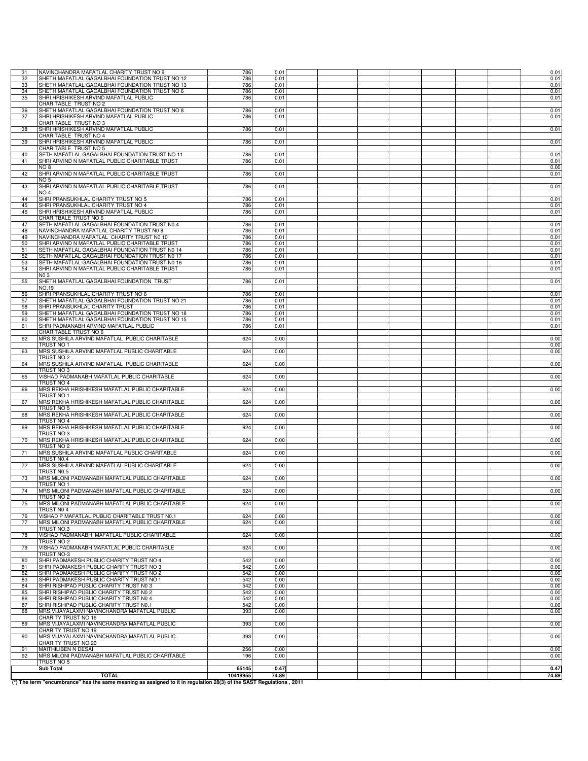| 31 | NAVINCHANDRA MAFATLAL CHARITY TRUST NO 9        | 786      | 0.01  |  |  |  | 0.01  |
|----|-------------------------------------------------|----------|-------|--|--|--|-------|
| 32 | SHETH MAFATLAL GAGALBHAI FOUNDATION TRUST NO 12 | 786      | 0.01  |  |  |  | 0.01  |
| 33 | SHETH MAFATLAL GAGALBHAI FOUNDATION TRUST NO 13 | 786      | 0.01  |  |  |  | 0.01  |
| 34 | SHETH MAFATLAL GAGALBHAI FOUNDATION TRUST NO 6  | 786      | 0.01  |  |  |  | 0.01  |
| 35 | SHRI HRISHIKESH ARVIND MAFATLAL PUBLIC          | 786      | 0.01  |  |  |  | 0.01  |
|    | CHARITABLE TRUST NO 2                           |          |       |  |  |  |       |
| 36 | SHETH MAFATLAL GAGALBHAI FOUNDATION TRUST NO 8  | 786      | 0.01  |  |  |  | 0.01  |
| 37 | SHRI HRISHIKESH ARVIND MAFATLAL PUBLIC          | 786      | 0.01  |  |  |  | 0.01  |
|    | CHARITABLE TRUST NO 3                           |          |       |  |  |  |       |
| 38 | SHRI HRISHIKESH ARVIND MAFATLAL PUBLIC          | 786      | 0.01  |  |  |  | 0.01  |
|    | CHARITABLE TRUST NO 4                           |          |       |  |  |  |       |
| 39 | SHRI HRISHIKESH ARVIND MAFATLAL PUBLIC          | 786      | 0.01  |  |  |  | 0.01  |
|    | CHARITABLE TRUST NO 5                           |          |       |  |  |  |       |
| 40 | SETH MAFATLAL GAGALBHAI FOUNDATION TRUST NO 11  | 786      | 0.01  |  |  |  | 0.01  |
| 41 | SHRI ARVIND N MAFATLAL PUBLIC CHARITABLE TRUST  | 786      | 0.01  |  |  |  | 0.01  |
|    | NO <sub>8</sub>                                 |          |       |  |  |  | 0.00  |
| 42 | SHRI ARVIND N MAFATLAL PUBLIC CHARITABLE TRUST  | 786      | 0.01  |  |  |  | 0.01  |
|    | NO 5                                            |          |       |  |  |  |       |
| 43 | SHRI ARVIND N MAFATLAL PUBLIC CHARITABLE TRUST  | 786      | 0.01  |  |  |  | 0.01  |
|    | NO <sub>4</sub>                                 |          |       |  |  |  |       |
| 44 | SHRI PRANSUKHLAL CHARITY TRUST NO 5             | 786      | 0.01  |  |  |  | 0.01  |
| 45 | SHRI PRANSUKHLAL CHARITY TRUST NO 4             | 786      | 0.01  |  |  |  | 0.01  |
| 46 | SHRI HRISHIKESH ARVIND MAFATLAL PUBLIC          | 786      | 0.01  |  |  |  | 0.01  |
|    | CHARITBALE TRUST NO 6                           |          |       |  |  |  |       |
| 47 | SETH MAFATLAL GAGALBHAI FOUNDATION TRUST N0.4   | 786      | 0.01  |  |  |  | 0.01  |
| 48 | NAVINCHANDRA MAFATLAL CHARITY TRUST N0 8        | 786      | 0.01  |  |  |  | 0.01  |
| 49 | NAVINCHANDRA MAFATLAL CHARITY TRUST N0 10       | 786      | 0.01  |  |  |  |       |
|    |                                                 |          |       |  |  |  | 0.01  |
| 50 | SHRI ARVIND N MAFATLAL PUBLIC CHARITABLE TRUST  | 786      | 0.01  |  |  |  | 0.01  |
| 51 | SETH MAFATLAL GAGALBHAI FOUNDATION TRUST N0 14  | 786      | 0.01  |  |  |  | 0.01  |
| 52 | SETH MAFATLAL GAGALBHAI FOUNDATION TRUST N0 17  | 786      | 0.01  |  |  |  | 0.01  |
| 53 | SETH MAFATLAL GAGALBHAI FOUNDATION TRUST N0 16  | 786      | 0.01  |  |  |  | 0.01  |
| 54 | SHRI ARVIND N MAFATLAL PUBLIC CHARITABLE TRUST  | 786      | 0.01  |  |  |  | 0.01  |
|    | NO 3                                            |          |       |  |  |  |       |
| 55 | SHETH MAFATLAL GAGALBHAI FOUNDATION TRUST       | 786      | 0.01  |  |  |  | 0.01  |
|    | NO.19                                           |          |       |  |  |  |       |
| 56 | SHRI PRANSUKHLAL CHARITY TRUST NO 6             | 786      | 0.01  |  |  |  | 0.01  |
| 57 | SHETH MAFATLAL GAGALBHAI FOUNDATION TRUST NO 21 | 786      | 0.01  |  |  |  | 0.01  |
| 58 | SHRI PRANSUKHLAL CHARITY TRUST                  | 786      | 0.01  |  |  |  | 0.01  |
| 59 | SHETH MAFATLAL GAGALBHAI FOUNDATION TRUST NO 18 | 786      | 0.01  |  |  |  | 0.01  |
| 60 | SHETH MAFATLAL GAGALBHAI FOUNDATION TRUST NO 15 | 786      | 0.01  |  |  |  | 0.01  |
| 61 | SHRI PADMANABH ARVIND MAFATLAL PUBLIC           | 786      | 0.01  |  |  |  | 0.01  |
|    | CHARITABLE TRUST NO 6                           |          |       |  |  |  |       |
| 62 | MRS SUSHILA ARVIND MAFATLAL PUBLIC CHARITABLE   | 624      | 0.00  |  |  |  | 0.00  |
|    | TRUST NO 1                                      |          |       |  |  |  | 0.00  |
| 63 | MRS SUSHILA ARVIND MAFATLAL PUBLIC CHARITABLE   | 624      | 0.00  |  |  |  | 0.00  |
|    | TRUST NO 2                                      |          |       |  |  |  |       |
| 64 | MRS SUSHILA ARVIND MAFATLAL PUBLIC CHARITABLE   | 624      | 0.00  |  |  |  | 0.00  |
|    | TRUST NO 3                                      |          |       |  |  |  |       |
| 65 | VISHAD PADMANABH MAFATLAL PUBLIC CHARITABLE     | 624      | 0.00  |  |  |  | 0.00  |
|    | TRUST NO 4                                      |          |       |  |  |  |       |
| 66 | MRS REKHA HRISHIKESH MAFATLAL PUBLIC CHARITABLE | 624      | 0.00  |  |  |  | 0.00  |
|    | TRUST NO 1                                      |          |       |  |  |  |       |
|    |                                                 |          |       |  |  |  |       |
| 67 | MRS REKHA HRISHIKESH MAFATLAL PUBLIC CHARITABLE | 624      | 0.00  |  |  |  | 0.00  |
|    | TRUST NO 5                                      |          |       |  |  |  |       |
| 68 | MRS REKHA HRISHIKESH MAFATLAL PUBLIC CHARITABLE | 624      | 0.00  |  |  |  | 0.00  |
|    | TRUST NO 4                                      |          |       |  |  |  |       |
| 69 | MRS REKHA HRISHIKESH MAFATLAL PUBLIC CHARITABLE | 624      | 0.00  |  |  |  | 0.00  |
|    | TRUST NO 3                                      |          |       |  |  |  |       |
| 70 | MRS REKHA HRISHIKESH MAFATLAL PUBLIC CHARITABLE | 624      | 0.00  |  |  |  | 0.00  |
|    | TRUST NO 2                                      |          |       |  |  |  |       |
| 71 | MRS SUSHILA ARVIND MAFATLAL PUBLIC CHARITABLE   | 624      | 0.00  |  |  |  | 0.00  |
|    | TRUST N0.4                                      |          |       |  |  |  |       |
| 72 | MRS.SUSHILA ARVIND MAFATLAL PUBLIC CHARITABLE   | 624      | 0.00  |  |  |  | 0.00  |
|    | TRUST N0.5                                      |          |       |  |  |  |       |
| 73 | MRS MILONI PADMANABH MAFATLAL PUBLIC CHARITABLE | 624      | 0.00  |  |  |  | 0.00  |
|    | TRUST NO 1                                      |          |       |  |  |  |       |
| 74 | MRS MILONI PADMANABH MAFATLAL PUBLIC CHARITABLE | 624      | 0.00  |  |  |  | 0.00  |
|    | IRUSI NU Z                                      |          |       |  |  |  |       |
| 75 | MRS MILONI PADMANABH MAFATLAL PUBLIC CHARITABLE | 624      | 0.00  |  |  |  | 0.00  |
|    | TRUST NO 4                                      |          |       |  |  |  |       |
| 76 | VISHAD P MAFATLAL PUBLIC CHARITABLE TRUST N0.1  | 624      | 0.00  |  |  |  | 0.00  |
| 77 | MRS MILONI PADMANABH MAFATLAL PUBLIC CHARITABLE | 624      | 0.00  |  |  |  | 0.00  |
|    | TRUST NO.3                                      |          |       |  |  |  |       |
| 78 | VISHAD PADMANABH MAFATLAL PUBLIC CHARITABLE     | 624      | 0.00  |  |  |  | 0.00  |
|    | TRUST NO 2                                      |          |       |  |  |  |       |
| 79 | VISHAD PADMANABH MAFATLAL PUBLIC CHARITABLE     | 624      | 0.00  |  |  |  | 0.00  |
|    | TRUST NO-3                                      |          |       |  |  |  |       |
| 80 | SHRI PADMAKESH PUBLIC CHARITY TRUST NO 4        | 542      | 0.00  |  |  |  | 0.00  |
| 81 | SHRI PADMAKESH PUBLIC CHARITY TRUST NO 3        | 542      | 0.00  |  |  |  | 0.00  |
| 82 | SHRI PADMAKESH PUBLIC CHARITY TRUST NO 2        | 542      | 0.00  |  |  |  | 0.00  |
| 83 | SHRI PADMAKESH PUBLIC CHARITY TRUST NO 1        | 542      | 0.00  |  |  |  |       |
|    | SHRI RISHIPAD PUBLIC CHARITY TRUST N0 3         | 542      | 0.00  |  |  |  | 0.00  |
| 84 | SHRI RISHIPAD PUBLIC CHARITY TRUST NO 2         |          |       |  |  |  | 0.00  |
| 85 |                                                 | 542      | 0.00  |  |  |  | 0.00  |
| 86 | SHRI RISHIPAD PUBLIC CHARITY TRUST N0 4         | 542      | 0.00  |  |  |  | 0.00  |
| 87 | SHRI RISHIPAD PUBLIC CHARITY TRUST N0.1         | 542      | 0.00  |  |  |  | 0.00  |
| 88 | MRS. VIJAYALAXMI NAVINCHANDRA MAFATLAL PUBLIC   | 393      | 0.00  |  |  |  | 0.00  |
|    | CHARITY TRUST NO 16                             |          |       |  |  |  |       |
| 89 | MRS VIJAYALAXMI NAVINCHANDRA MAFATLAL PUBLIC    | 393      | 0.00  |  |  |  | 0.00  |
|    | CHARITY TRUST NO 19                             |          |       |  |  |  |       |
| 90 | MRS VIJAYALAXMI NAVINCHANDRA MAFATLAL PUBLIC    | 393      | 0.00  |  |  |  | 0.00  |
|    | CHARITY TRUST NO 20                             |          |       |  |  |  |       |
| 91 | MAITHILIBEN N DESAI                             | 256      | 0.00  |  |  |  | 0.00  |
| 92 | MRS MILONI PADMANABH MAFATLAL PUBLIC CHARITABLE | 196      | 0.00  |  |  |  | 0.00  |
|    | TRUST NO 5                                      |          |       |  |  |  |       |
|    | <b>Sub Total</b>                                | 65145    | 0.47  |  |  |  | 0.47  |
|    | <b>TOTAL</b>                                    | 10419955 | 74.89 |  |  |  | 74.89 |

TOTAL 10419955 14.89 10419955 1081 .<br>(10 The term "encumbrance" has the same meaning as assigned to it in regulation 28(3) of the SAST Regulations ,